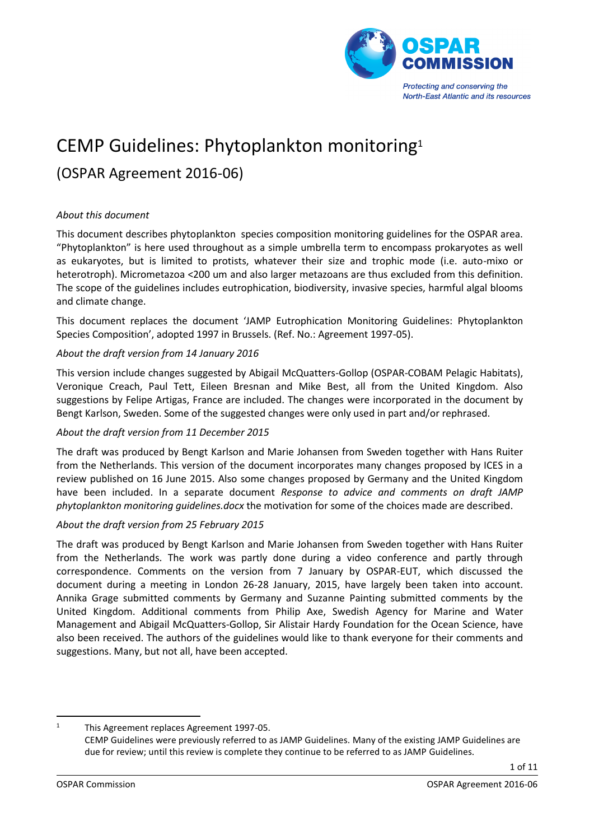

# CEMP Guidelines: Phytoplankton monitoring<sup>1</sup>

# (OSPAR Agreement 2016-06)

# *About this document*

This document describes phytoplankton species composition monitoring guidelines for the OSPAR area. "Phytoplankton" is here used throughout as a simple umbrella term to encompass prokaryotes as well as eukaryotes, but is limited to protists, whatever their size and trophic mode (i.e. auto-mixo or heterotroph). Micrometazoa <200 um and also larger metazoans are thus excluded from this definition. The scope of the guidelines includes eutrophication, biodiversity, invasive species, harmful algal blooms and climate change.

This document replaces the document 'JAMP Eutrophication Monitoring Guidelines: Phytoplankton Species Composition', adopted 1997 in Brussels. (Ref. No.: Agreement 1997-05).

#### *About the draft version from 14 January 2016*

This version include changes suggested by Abigail McQuatters-Gollop (OSPAR-COBAM Pelagic Habitats), Veronique Creach, Paul Tett, Eileen Bresnan and Mike Best, all from the United Kingdom. Also suggestions by Felipe Artigas, France are included. The changes were incorporated in the document by Bengt Karlson, Sweden. Some of the suggested changes were only used in part and/or rephrased.

#### *About the draft version from 11 December 2015*

The draft was produced by Bengt Karlson and Marie Johansen from Sweden together with Hans Ruiter from the Netherlands. This version of the document incorporates many changes proposed by ICES in a review published on 16 June 2015. Also some changes proposed by Germany and the United Kingdom have been included. In a separate document *Response to advice and comments on draft JAMP phytoplankton monitoring guidelines.docx* the motivation for some of the choices made are described.

#### *About the draft version from 25 February 2015*

The draft was produced by Bengt Karlson and Marie Johansen from Sweden together with Hans Ruiter from the Netherlands. The work was partly done during a video conference and partly through correspondence. Comments on the version from 7 January by OSPAR-EUT, which discussed the document during a meeting in London 26-28 January, 2015, have largely been taken into account. Annika Grage submitted comments by Germany and Suzanne Painting submitted comments by the United Kingdom. Additional comments from Philip Axe, Swedish Agency for Marine and Water Management and Abigail McQuatters-Gollop, Sir Alistair Hardy Foundation for the Ocean Science, have also been received. The authors of the guidelines would like to thank everyone for their comments and suggestions. Many, but not all, have been accepted.

1 <sup>1</sup> This Agreement replaces Agreement 1997-05.

CEMP Guidelines were previously referred to as JAMP Guidelines. Many of the existing JAMP Guidelines are due for review; until this review is complete they continue to be referred to as JAMP Guidelines.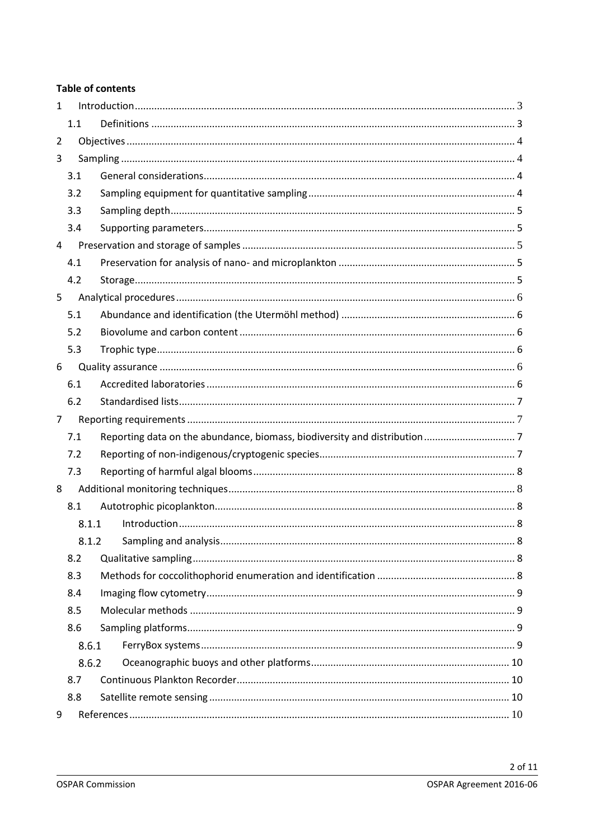# **Table of contents**

| $\mathbf{1}$   |       |  |  |
|----------------|-------|--|--|
|                | 1.1   |  |  |
| 2              |       |  |  |
| 3              |       |  |  |
|                | 3.1   |  |  |
|                | 3.2   |  |  |
|                | 3.3   |  |  |
|                | 3.4   |  |  |
| 4              |       |  |  |
|                | 4.1   |  |  |
|                | 4.2   |  |  |
| 5              |       |  |  |
|                | 5.1   |  |  |
|                | 5.2   |  |  |
|                | 5.3   |  |  |
| 6              |       |  |  |
|                | 6.1   |  |  |
|                | 6.2   |  |  |
| $\overline{7}$ |       |  |  |
|                | 7.1   |  |  |
|                | 7.2   |  |  |
|                | 7.3   |  |  |
| 8              |       |  |  |
|                | 8.1   |  |  |
|                | 8.1.1 |  |  |
|                | 8.1.2 |  |  |
|                | 8.2   |  |  |
|                | 8.3   |  |  |
| 8.4            |       |  |  |
|                | 8.5   |  |  |
|                | 8.6   |  |  |
|                | 8.6.1 |  |  |
| 8.6.2          |       |  |  |
|                | 8.7   |  |  |
|                | 8.8   |  |  |
| 9              |       |  |  |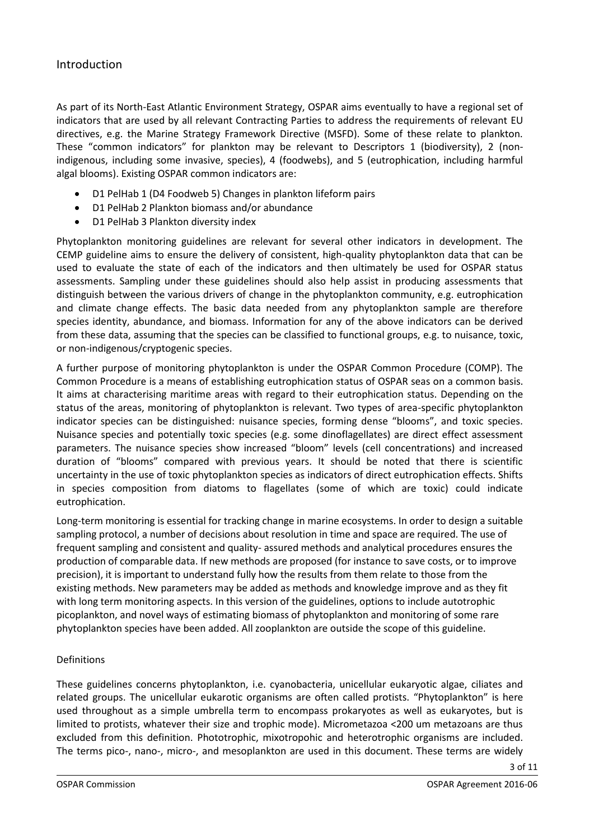# <span id="page-2-0"></span>Introduction

As part of its North-East Atlantic Environment Strategy, OSPAR aims eventually to have a regional set of indicators that are used by all relevant Contracting Parties to address the requirements of relevant EU directives, e.g. the Marine Strategy Framework Directive (MSFD). Some of these relate to plankton. These "common indicators" for plankton may be relevant to Descriptors 1 (biodiversity), 2 (nonindigenous, including some invasive, species), 4 (foodwebs), and 5 (eutrophication, including harmful algal blooms). Existing OSPAR common indicators are:

- D1 PelHab 1 (D4 Foodweb 5) Changes in plankton lifeform pairs
- D1 PelHab 2 Plankton biomass and/or abundance
- D1 PelHab 3 Plankton diversity index

Phytoplankton monitoring guidelines are relevant for several other indicators in development. The CEMP guideline aims to ensure the delivery of consistent, high-quality phytoplankton data that can be used to evaluate the state of each of the indicators and then ultimately be used for OSPAR status assessments. Sampling under these guidelines should also help assist in producing assessments that distinguish between the various drivers of change in the phytoplankton community, e.g. eutrophication and climate change effects. The basic data needed from any phytoplankton sample are therefore species identity, abundance, and biomass. Information for any of the above indicators can be derived from these data, assuming that the species can be classified to functional groups, e.g. to nuisance, toxic, or non-indigenous/cryptogenic species.

A further purpose of monitoring phytoplankton is under the OSPAR Common Procedure (COMP). The Common Procedure is a means of establishing eutrophication status of OSPAR seas on a common basis. It aims at characterising maritime areas with regard to their eutrophication status. Depending on the status of the areas, monitoring of phytoplankton is relevant. Two types of area-specific phytoplankton indicator species can be distinguished: nuisance species, forming dense "blooms", and toxic species. Nuisance species and potentially toxic species (e.g. some dinoflagellates) are direct effect assessment parameters. The nuisance species show increased "bloom" levels (cell concentrations) and increased duration of "blooms" compared with previous years. It should be noted that there is scientific uncertainty in the use of toxic phytoplankton species as indicators of direct eutrophication effects. Shifts in species composition from diatoms to flagellates (some of which are toxic) could indicate eutrophication.

Long-term monitoring is essential for tracking change in marine ecosystems. In order to design a suitable sampling protocol, a number of decisions about resolution in time and space are required. The use of frequent sampling and consistent and quality- assured methods and analytical procedures ensures the production of comparable data. If new methods are proposed (for instance to save costs, or to improve precision), it is important to understand fully how the results from them relate to those from the existing methods. New parameters may be added as methods and knowledge improve and as they fit with long term monitoring aspects. In this version of the guidelines, options to include autotrophic picoplankton, and novel ways of estimating biomass of phytoplankton and monitoring of some rare phytoplankton species have been added. All zooplankton are outside the scope of this guideline.

# <span id="page-2-1"></span>Definitions

These guidelines concerns phytoplankton, i.e. cyanobacteria, unicellular eukaryotic algae, ciliates and related groups. The unicellular eukarotic organisms are often called protists. "Phytoplankton" is here used throughout as a simple umbrella term to encompass prokaryotes as well as eukaryotes, but is limited to protists, whatever their size and trophic mode). Micrometazoa <200 um metazoans are thus excluded from this definition. Phototrophic, mixotropohic and heterotrophic organisms are included. The terms pico-, nano-, micro-, and mesoplankton are used in this document. These terms are widely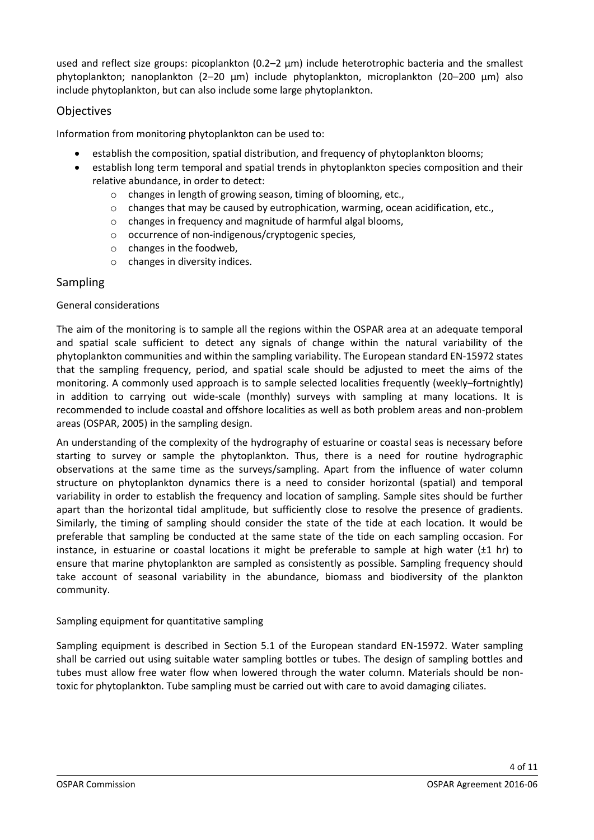used and reflect size groups: picoplankton (0.2–2 μm) include heterotrophic bacteria and the smallest phytoplankton; nanoplankton (2–20 μm) include phytoplankton, microplankton (20–200 μm) also include phytoplankton, but can also include some large phytoplankton.

# <span id="page-3-0"></span>**Objectives**

Information from monitoring phytoplankton can be used to:

- establish the composition, spatial distribution, and frequency of phytoplankton blooms;
- establish long term temporal and spatial trends in phytoplankton species composition and their relative abundance, in order to detect:
	- o changes in length of growing season, timing of blooming, etc.,
	- o changes that may be caused by eutrophication, warming, ocean acidification, etc.,
	- o changes in frequency and magnitude of harmful algal blooms,
	- o occurrence of non-indigenous/cryptogenic species,
	- o changes in the foodweb,
	- o changes in diversity indices.

# <span id="page-3-1"></span>Sampling

# <span id="page-3-2"></span>General considerations

The aim of the monitoring is to sample all the regions within the OSPAR area at an adequate temporal and spatial scale sufficient to detect any signals of change within the natural variability of the phytoplankton communities and within the sampling variability. The European standard EN-15972 states that the sampling frequency, period, and spatial scale should be adjusted to meet the aims of the monitoring. A commonly used approach is to sample selected localities frequently (weekly–fortnightly) in addition to carrying out wide-scale (monthly) surveys with sampling at many locations. It is recommended to include coastal and offshore localities as well as both problem areas and non-problem areas (OSPAR, 2005) in the sampling design.

An understanding of the complexity of the hydrography of estuarine or coastal seas is necessary before starting to survey or sample the phytoplankton. Thus, there is a need for routine hydrographic observations at the same time as the surveys/sampling. Apart from the influence of water column structure on phytoplankton dynamics there is a need to consider horizontal (spatial) and temporal variability in order to establish the frequency and location of sampling. Sample sites should be further apart than the horizontal tidal amplitude, but sufficiently close to resolve the presence of gradients. Similarly, the timing of sampling should consider the state of the tide at each location. It would be preferable that sampling be conducted at the same state of the tide on each sampling occasion. For instance, in estuarine or coastal locations it might be preferable to sample at high water (±1 hr) to ensure that marine phytoplankton are sampled as consistently as possible. Sampling frequency should take account of seasonal variability in the abundance, biomass and biodiversity of the plankton community.

# <span id="page-3-3"></span>Sampling equipment for quantitative sampling

Sampling equipment is described in Section 5.1 of the European standard EN-15972. Water sampling shall be carried out using suitable water sampling bottles or tubes. The design of sampling bottles and tubes must allow free water flow when lowered through the water column. Materials should be nontoxic for phytoplankton. Tube sampling must be carried out with care to avoid damaging ciliates.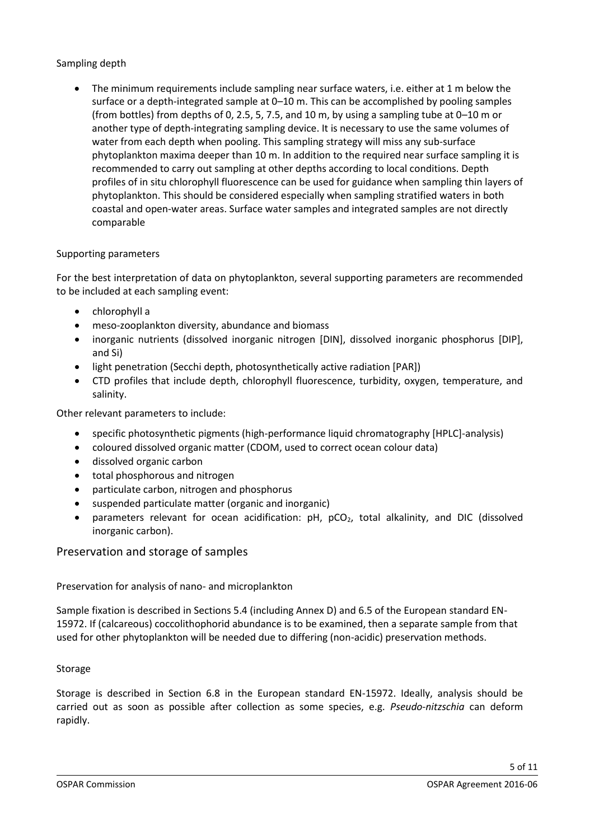# <span id="page-4-0"></span>Sampling depth

 The minimum requirements include sampling near surface waters, i.e. either at 1 m below the surface or a depth-integrated sample at 0–10 m. This can be accomplished by pooling samples (from bottles) from depths of 0, 2.5, 5, 7.5, and 10 m, by using a sampling tube at 0–10 m or another type of depth-integrating sampling device. It is necessary to use the same volumes of water from each depth when pooling. This sampling strategy will miss any sub-surface phytoplankton maxima deeper than 10 m. In addition to the required near surface sampling it is recommended to carry out sampling at other depths according to local conditions. Depth profiles of in situ chlorophyll fluorescence can be used for guidance when sampling thin layers of phytoplankton. This should be considered especially when sampling stratified waters in both coastal and open-water areas. Surface water samples and integrated samples are not directly comparable

# <span id="page-4-1"></span>Supporting parameters

For the best interpretation of data on phytoplankton, several supporting parameters are recommended to be included at each sampling event:

- chlorophyll a
- meso-zooplankton diversity, abundance and biomass
- inorganic nutrients (dissolved inorganic nitrogen [DIN], dissolved inorganic phosphorus [DIP], and Si)
- light penetration (Secchi depth, photosynthetically active radiation [PAR])
- CTD profiles that include depth, chlorophyll fluorescence, turbidity, oxygen, temperature, and salinity.

Other relevant parameters to include:

- specific photosynthetic pigments (high-performance liquid chromatography [HPLC]-analysis)
- coloured dissolved organic matter (CDOM, used to correct ocean colour data)
- dissolved organic carbon
- total phosphorous and nitrogen
- particulate carbon, nitrogen and phosphorus
- suspended particulate matter (organic and inorganic)
- parameters relevant for ocean acidification: pH, pCO<sub>2</sub>, total alkalinity, and DIC (dissolved inorganic carbon).

<span id="page-4-2"></span>Preservation and storage of samples

# <span id="page-4-3"></span>Preservation for analysis of nano- and microplankton

Sample fixation is described in Sections 5.4 (including Annex D) and 6.5 of the European standard EN-15972. If (calcareous) coccolithophorid abundance is to be examined, then a separate sample from that used for other phytoplankton will be needed due to differing (non-acidic) preservation methods.

#### <span id="page-4-4"></span>Storage

Storage is described in Section 6.8 in the European standard EN-15972. Ideally, analysis should be carried out as soon as possible after collection as some species, e.g. *Pseudo-nitzschia* can deform rapidly.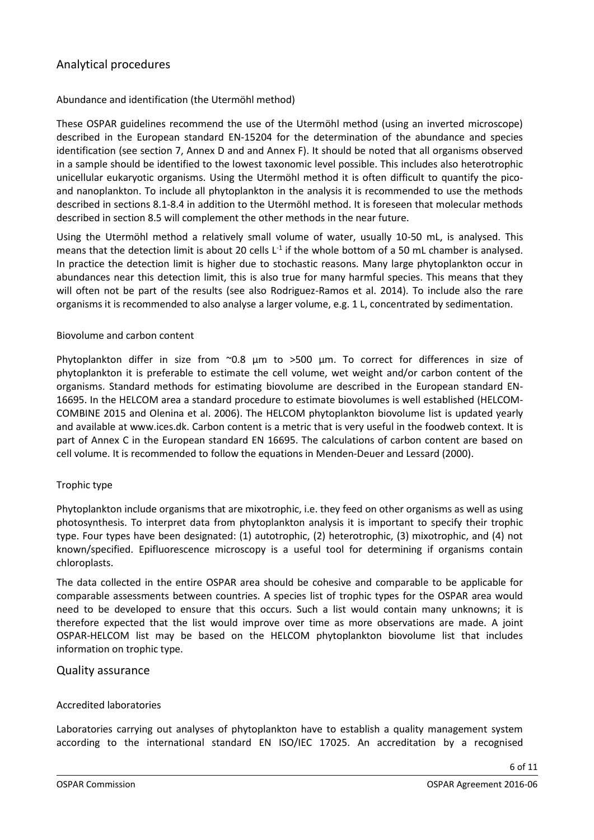# <span id="page-5-0"></span>Analytical procedures

# <span id="page-5-1"></span>Abundance and identification (the Utermöhl method)

These OSPAR guidelines recommend the use of the Utermöhl method (using an inverted microscope) described in the European standard EN-15204 for the determination of the abundance and species identification (see section 7, Annex D and and Annex F). It should be noted that all organisms observed in a sample should be identified to the lowest taxonomic level possible. This includes also heterotrophic unicellular eukaryotic organisms. Using the Utermöhl method it is often difficult to quantify the picoand nanoplankton. To include all phytoplankton in the analysis it is recommended to use the methods described in sections 8.1-8.4 in addition to the Utermöhl method. It is foreseen that molecular methods described in section 8.5 will complement the other methods in the near future.

Using the Utermöhl method a relatively small volume of water, usually 10-50 mL, is analysed. This means that the detection limit is about 20 cells  $L<sup>-1</sup>$  if the whole bottom of a 50 mL chamber is analysed. In practice the detection limit is higher due to stochastic reasons. Many large phytoplankton occur in abundances near this detection limit, this is also true for many harmful species. This means that they will often not be part of the results (see also Rodriguez-Ramos et al. 2014). To include also the rare organisms it is recommended to also analyse a larger volume, e.g. 1 L, concentrated by sedimentation.

#### <span id="page-5-2"></span>Biovolume and carbon content

Phytoplankton differ in size from ~0.8 μm to >500 μm. To correct for differences in size of phytoplankton it is preferable to estimate the cell volume, wet weight and/or carbon content of the organisms. Standard methods for estimating biovolume are described in the European standard EN-16695. In the HELCOM area a standard procedure to estimate biovolumes is well established (HELCOM-COMBINE 2015 and Olenina et al. 2006). The HELCOM phytoplankton biovolume list is updated yearly and available at www.ices.dk. Carbon content is a metric that is very useful in the foodweb context. It is part of Annex C in the European standard EN 16695. The calculations of carbon content are based on cell volume. It is recommended to follow the equations in Menden-Deuer and Lessard (2000).

#### <span id="page-5-3"></span>Trophic type

Phytoplankton include organisms that are mixotrophic, i.e. they feed on other organisms as well as using photosynthesis. To interpret data from phytoplankton analysis it is important to specify their trophic type. Four types have been designated: (1) autotrophic, (2) heterotrophic, (3) mixotrophic, and (4) not known/specified. Epifluorescence microscopy is a useful tool for determining if organisms contain chloroplasts.

The data collected in the entire OSPAR area should be cohesive and comparable to be applicable for comparable assessments between countries. A species list of trophic types for the OSPAR area would need to be developed to ensure that this occurs. Such a list would contain many unknowns; it is therefore expected that the list would improve over time as more observations are made. A joint OSPAR-HELCOM list may be based on the HELCOM phytoplankton biovolume list that includes information on trophic type.

# <span id="page-5-4"></span>Quality assurance

#### <span id="page-5-5"></span>Accredited laboratories

Laboratories carrying out analyses of phytoplankton have to establish a quality management system according to the international standard EN ISO/IEC 17025. An accreditation by a recognised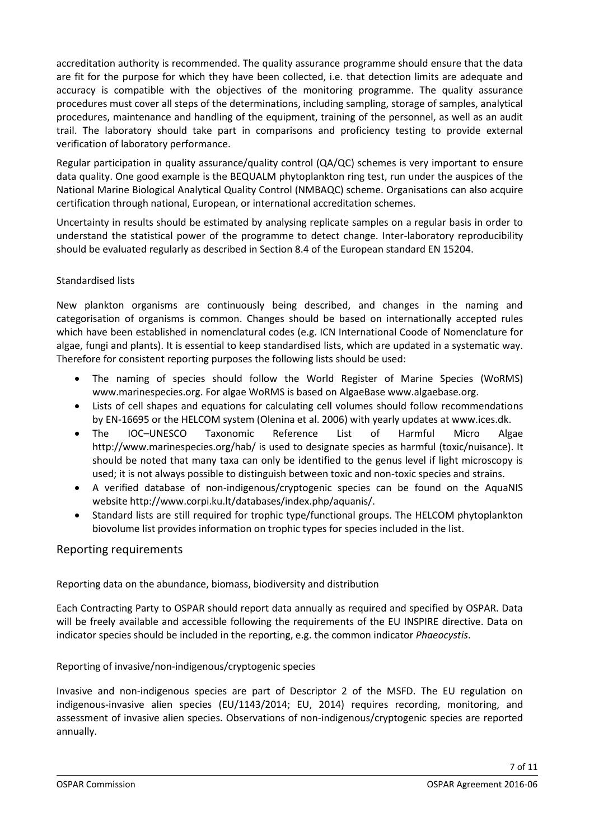accreditation authority is recommended. The quality assurance programme should ensure that the data are fit for the purpose for which they have been collected, i.e. that detection limits are adequate and accuracy is compatible with the objectives of the monitoring programme. The quality assurance procedures must cover all steps of the determinations, including sampling, storage of samples, analytical procedures, maintenance and handling of the equipment, training of the personnel, as well as an audit trail. The laboratory should take part in comparisons and proficiency testing to provide external verification of laboratory performance.

Regular participation in quality assurance/quality control (QA/QC) schemes is very important to ensure data quality. One good example is the BEQUALM phytoplankton ring test, run under the auspices of the National Marine Biological Analytical Quality Control (NMBAQC) scheme. Organisations can also acquire certification through national, European, or international accreditation schemes.

Uncertainty in results should be estimated by analysing replicate samples on a regular basis in order to understand the statistical power of the programme to detect change. Inter-laboratory reproducibility should be evaluated regularly as described in Section 8.4 of the European standard EN 15204.

# <span id="page-6-0"></span>Standardised lists

New plankton organisms are continuously being described, and changes in the naming and categorisation of organisms is common. Changes should be based on internationally accepted rules which have been established in nomenclatural codes (e.g. ICN International Coode of Nomenclature for algae, fungi and plants). It is essential to keep standardised lists, which are updated in a systematic way. Therefore for consistent reporting purposes the following lists should be used:

- The naming of species should follow the World Register of Marine Species (WoRMS) www.marinespecies.org. For algae WoRMS is based on AlgaeBase www.algaebase.org.
- Lists of cell shapes and equations for calculating cell volumes should follow recommendations by EN-16695 or the HELCOM system (Olenina et al. 2006) with yearly updates at www.ices.dk.
- The IOC–UNESCO Taxonomic Reference List of Harmful Micro Algae http://www.marinespecies.org/hab/ is used to designate species as harmful (toxic/nuisance). It should be noted that many taxa can only be identified to the genus level if light microscopy is used; it is not always possible to distinguish between toxic and non-toxic species and strains.
- A verified database of non-indigenous/cryptogenic species can be found on the AquaNIS website http://www.corpi.ku.lt/databases/index.php/aquanis/.
- Standard lists are still required for trophic type/functional groups. The HELCOM phytoplankton biovolume list provides information on trophic types for species included in the list.

# <span id="page-6-1"></span>Reporting requirements

<span id="page-6-2"></span>Reporting data on the abundance, biomass, biodiversity and distribution

Each Contracting Party to OSPAR should report data annually as required and specified by OSPAR. Data will be freely available and accessible following the requirements of the EU INSPIRE directive. Data on indicator species should be included in the reporting, e.g. the common indicator *Phaeocystis*.

# <span id="page-6-3"></span>Reporting of invasive/non-indigenous/cryptogenic species

Invasive and non-indigenous species are part of Descriptor 2 of the MSFD. The EU regulation on indigenous-invasive alien species (EU/1143/2014; EU, 2014) requires recording, monitoring, and assessment of invasive alien species. Observations of non-indigenous/cryptogenic species are reported annually.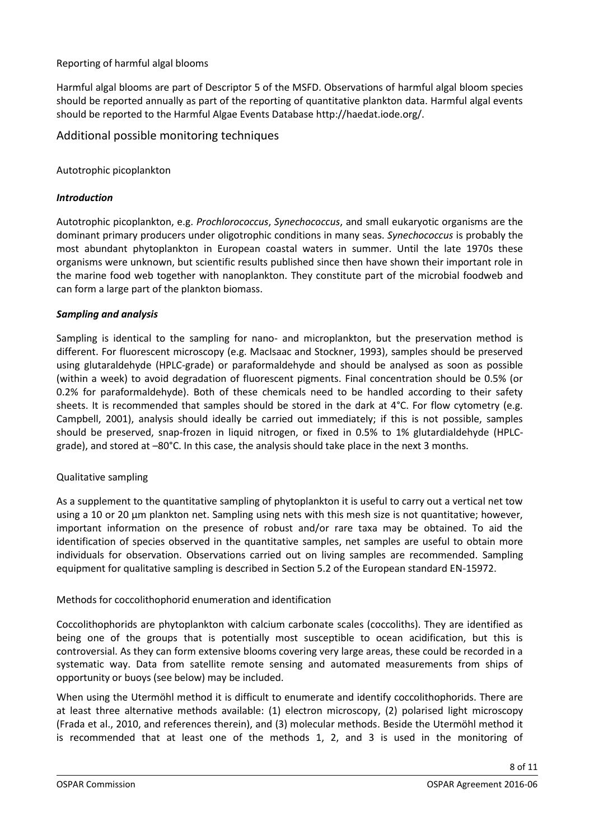# <span id="page-7-0"></span>Reporting of harmful algal blooms

Harmful algal blooms are part of Descriptor 5 of the MSFD. Observations of harmful algal bloom species should be reported annually as part of the reporting of quantitative plankton data. Harmful algal events should be reported to the Harmful Algae Events Database http://haedat.iode.org/.

# <span id="page-7-1"></span>Additional possible monitoring techniques

#### <span id="page-7-2"></span>Autotrophic picoplankton

#### <span id="page-7-3"></span>*Introduction*

Autotrophic picoplankton, e.g. *Prochlorococcus*, *Synechococcus*, and small eukaryotic organisms are the dominant primary producers under oligotrophic conditions in many seas. *Synechococcus* is probably the most abundant phytoplankton in European coastal waters in summer. Until the late 1970s these organisms were unknown, but scientific results published since then have shown their important role in the marine food web together with nanoplankton. They constitute part of the microbial foodweb and can form a large part of the plankton biomass.

#### <span id="page-7-4"></span>*Sampling and analysis*

Sampling is identical to the sampling for nano- and microplankton, but the preservation method is different. For fluorescent microscopy (e.g. MacIsaac and Stockner, 1993), samples should be preserved using glutaraldehyde (HPLC-grade) or paraformaldehyde and should be analysed as soon as possible (within a week) to avoid degradation of fluorescent pigments. Final concentration should be 0.5% (or 0.2% for paraformaldehyde). Both of these chemicals need to be handled according to their safety sheets. It is recommended that samples should be stored in the dark at 4°C. For flow cytometry (e.g. Campbell, 2001), analysis should ideally be carried out immediately; if this is not possible, samples should be preserved, snap-frozen in liquid nitrogen, or fixed in 0.5% to 1% glutardialdehyde (HPLCgrade), and stored at –80°C. In this case, the analysis should take place in the next 3 months.

#### <span id="page-7-5"></span>Qualitative sampling

As a supplement to the quantitative sampling of phytoplankton it is useful to carry out a vertical net tow using a 10 or 20 μm plankton net. Sampling using nets with this mesh size is not quantitative; however, important information on the presence of robust and/or rare taxa may be obtained. To aid the identification of species observed in the quantitative samples, net samples are useful to obtain more individuals for observation. Observations carried out on living samples are recommended. Sampling equipment for qualitative sampling is described in Section 5.2 of the European standard EN-15972.

#### <span id="page-7-6"></span>Methods for coccolithophorid enumeration and identification

Coccolithophorids are phytoplankton with calcium carbonate scales (coccoliths). They are identified as being one of the groups that is potentially most susceptible to ocean acidification, but this is controversial. As they can form extensive blooms covering very large areas, these could be recorded in a systematic way. Data from satellite remote sensing and automated measurements from ships of opportunity or buoys (see below) may be included.

When using the Utermöhl method it is difficult to enumerate and identify coccolithophorids. There are at least three alternative methods available: (1) electron microscopy, (2) polarised light microscopy (Frada et al., 2010, and references therein), and (3) molecular methods. Beside the Utermöhl method it is recommended that at least one of the methods 1, 2, and 3 is used in the monitoring of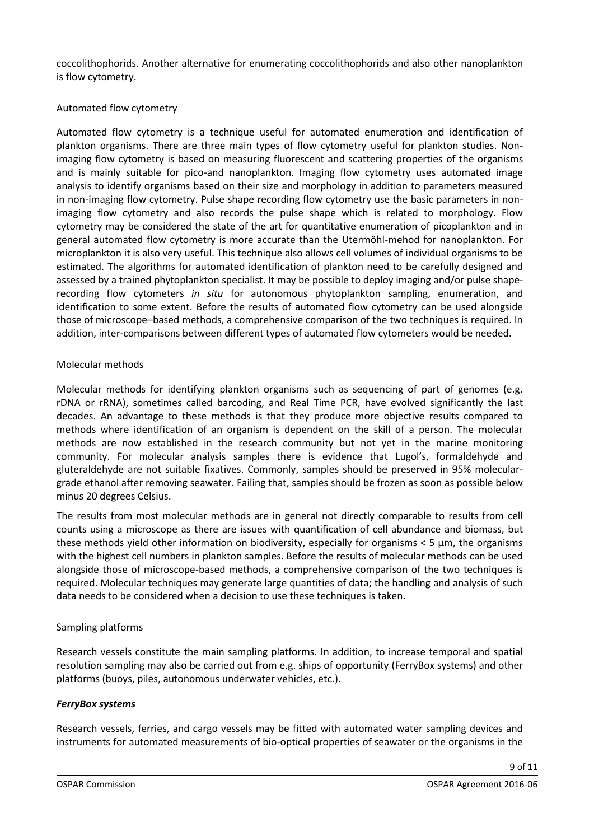coccolithophorids. Another alternative for enumerating coccolithophorids and also other nanoplankton is flow cytometry.

# <span id="page-8-0"></span>Automated flow cytometry

Automated flow cytometry is a technique useful for automated enumeration and identification of plankton organisms. There are three main types of flow cytometry useful for plankton studies. Nonimaging flow cytometry is based on measuring fluorescent and scattering properties of the organisms and is mainly suitable for pico-and nanoplankton. Imaging flow cytometry uses automated image analysis to identify organisms based on their size and morphology in addition to parameters measured in non-imaging flow cytometry. Pulse shape recording flow cytometry use the basic parameters in nonimaging flow cytometry and also records the pulse shape which is related to morphology. Flow cytometry may be considered the state of the art for quantitative enumeration of picoplankton and in general automated flow cytometry is more accurate than the Utermöhl-mehod for nanoplankton. For microplankton it is also very useful. This technique also allows cell volumes of individual organisms to be estimated. The algorithms for automated identification of plankton need to be carefully designed and assessed by a trained phytoplankton specialist. It may be possible to deploy imaging and/or pulse shaperecording flow cytometers *in situ* for autonomous phytoplankton sampling, enumeration, and identification to some extent. Before the results of automated flow cytometry can be used alongside those of microscope–based methods, a comprehensive comparison of the two techniques is required. In addition, inter-comparisons between different types of automated flow cytometers would be needed.

#### <span id="page-8-1"></span>Molecular methods

Molecular methods for identifying plankton organisms such as sequencing of part of genomes (e.g. rDNA or rRNA), sometimes called barcoding, and Real Time PCR, have evolved significantly the last decades. An advantage to these methods is that they produce more objective results compared to methods where identification of an organism is dependent on the skill of a person. The molecular methods are now established in the research community but not yet in the marine monitoring community. For molecular analysis samples there is evidence that Lugol's, formaldehyde and gluteraldehyde are not suitable fixatives. Commonly, samples should be preserved in 95% moleculargrade ethanol after removing seawater. Failing that, samples should be frozen as soon as possible below minus 20 degrees Celsius.

The results from most molecular methods are in general not directly comparable to results from cell counts using a microscope as there are issues with quantification of cell abundance and biomass, but these methods yield other information on biodiversity, especially for organisms < 5 μm, the organisms with the highest cell numbers in plankton samples. Before the results of molecular methods can be used alongside those of microscope-based methods, a comprehensive comparison of the two techniques is required. Molecular techniques may generate large quantities of data; the handling and analysis of such data needs to be considered when a decision to use these techniques is taken.

#### <span id="page-8-2"></span>Sampling platforms

Research vessels constitute the main sampling platforms. In addition, to increase temporal and spatial resolution sampling may also be carried out from e.g. ships of opportunity (FerryBox systems) and other platforms (buoys, piles, autonomous underwater vehicles, etc.).

#### <span id="page-8-3"></span>*FerryBox systems*

Research vessels, ferries, and cargo vessels may be fitted with automated water sampling devices and instruments for automated measurements of bio-optical properties of seawater or the organisms in the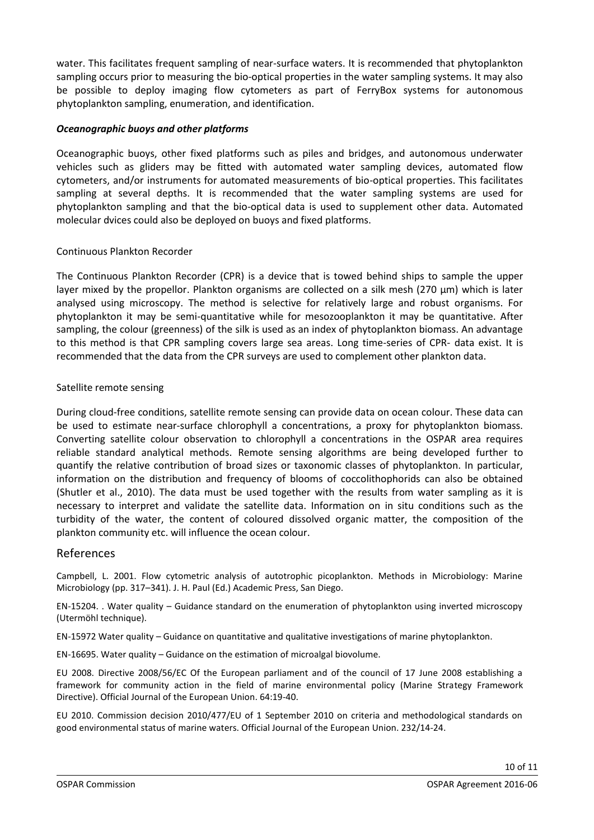water. This facilitates frequent sampling of near-surface waters. It is recommended that phytoplankton sampling occurs prior to measuring the bio-optical properties in the water sampling systems. It may also be possible to deploy imaging flow cytometers as part of FerryBox systems for autonomous phytoplankton sampling, enumeration, and identification.

# <span id="page-9-0"></span>*Oceanographic buoys and other platforms*

Oceanographic buoys, other fixed platforms such as piles and bridges, and autonomous underwater vehicles such as gliders may be fitted with automated water sampling devices, automated flow cytometers, and/or instruments for automated measurements of bio-optical properties. This facilitates sampling at several depths. It is recommended that the water sampling systems are used for phytoplankton sampling and that the bio-optical data is used to supplement other data. Automated molecular dvices could also be deployed on buoys and fixed platforms.

#### <span id="page-9-1"></span>Continuous Plankton Recorder

The Continuous Plankton Recorder (CPR) is a device that is towed behind ships to sample the upper layer mixed by the propellor. Plankton organisms are collected on a silk mesh (270 μm) which is later analysed using microscopy. The method is selective for relatively large and robust organisms. For phytoplankton it may be semi-quantitative while for mesozooplankton it may be quantitative. After sampling, the colour (greenness) of the silk is used as an index of phytoplankton biomass. An advantage to this method is that CPR sampling covers large sea areas. Long time-series of CPR- data exist. It is recommended that the data from the CPR surveys are used to complement other plankton data.

#### <span id="page-9-2"></span>Satellite remote sensing

During cloud-free conditions, satellite remote sensing can provide data on ocean colour. These data can be used to estimate near-surface chlorophyll a concentrations, a proxy for phytoplankton biomass. Converting satellite colour observation to chlorophyll a concentrations in the OSPAR area requires reliable standard analytical methods. Remote sensing algorithms are being developed further to quantify the relative contribution of broad sizes or taxonomic classes of phytoplankton. In particular, information on the distribution and frequency of blooms of coccolithophorids can also be obtained (Shutler et al., 2010). The data must be used together with the results from water sampling as it is necessary to interpret and validate the satellite data. Information on in situ conditions such as the turbidity of the water, the content of coloured dissolved organic matter, the composition of the plankton community etc. will influence the ocean colour.

# <span id="page-9-3"></span>References

Campbell, L. 2001. Flow cytometric analysis of autotrophic picoplankton. Methods in Microbiology: Marine Microbiology (pp. 317–341). J. H. Paul (Ed.) Academic Press, San Diego.

EN-15204. . Water quality – Guidance standard on the enumeration of phytoplankton using inverted microscopy (Utermöhl technique).

EN-15972 Water quality – Guidance on quantitative and qualitative investigations of marine phytoplankton.

EN-16695. Water quality – Guidance on the estimation of microalgal biovolume.

EU 2008. Directive 2008/56/EC Of the European parliament and of the council of 17 June 2008 establishing a framework for community action in the field of marine environmental policy (Marine Strategy Framework Directive). Official Journal of the European Union. 64:19-40.

EU 2010. Commission decision 2010/477/EU of 1 September 2010 on criteria and methodological standards on good environmental status of marine waters. Official Journal of the European Union. 232/14-24.